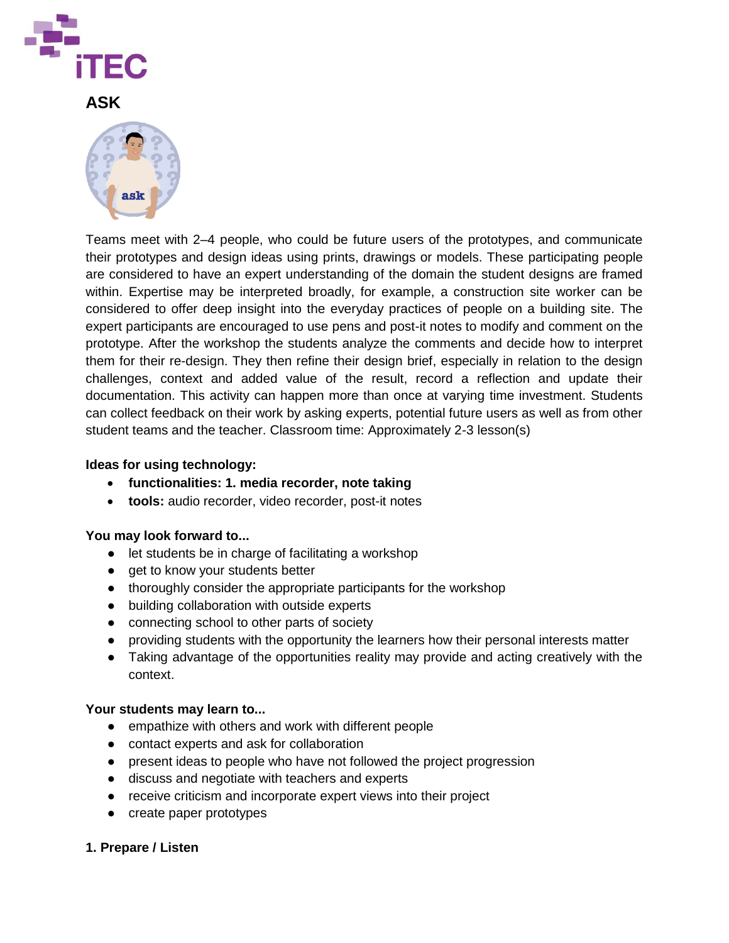

**ASK**



Teams meet with 2–4 people, who could be future users of the prototypes, and communicate their prototypes and design ideas using prints, drawings or models. These participating people are considered to have an expert understanding of the domain the student designs are framed within. Expertise may be interpreted broadly, for example, a construction site worker can be considered to offer deep insight into the everyday practices of people on a building site. The expert participants are encouraged to use pens and post-it notes to modify and comment on the prototype. After the workshop the students analyze the comments and decide how to interpret them for their re-design. They then refine their design brief, especially in relation to the design challenges, context and added value of the result, record a reflection and update their documentation. This activity can happen more than once at varying time investment. Students can collect feedback on their work by asking experts, potential future users as well as from other student teams and the teacher. Classroom time: Approximately 2-3 lesson(s)

### **Ideas for using technology:**

- **functionalities: 1. media recorder, note taking**
- **tools:** audio recorder, video recorder, post-it notes

#### **You may look forward to...**

- let students be in charge of facilitating a workshop
- get to know your students better
- thoroughly consider the appropriate participants for the workshop
- building collaboration with outside experts
- connecting school to other parts of society
- providing students with the opportunity the learners how their personal interests matter
- Taking advantage of the opportunities reality may provide and acting creatively with the context.

#### **Your students may learn to...**

- empathize with others and work with different people
- contact experts and ask for collaboration
- present ideas to people who have not followed the project progression
- discuss and negotiate with teachers and experts
- receive criticism and incorporate expert views into their project
- create paper prototypes

### **1. Prepare / Listen**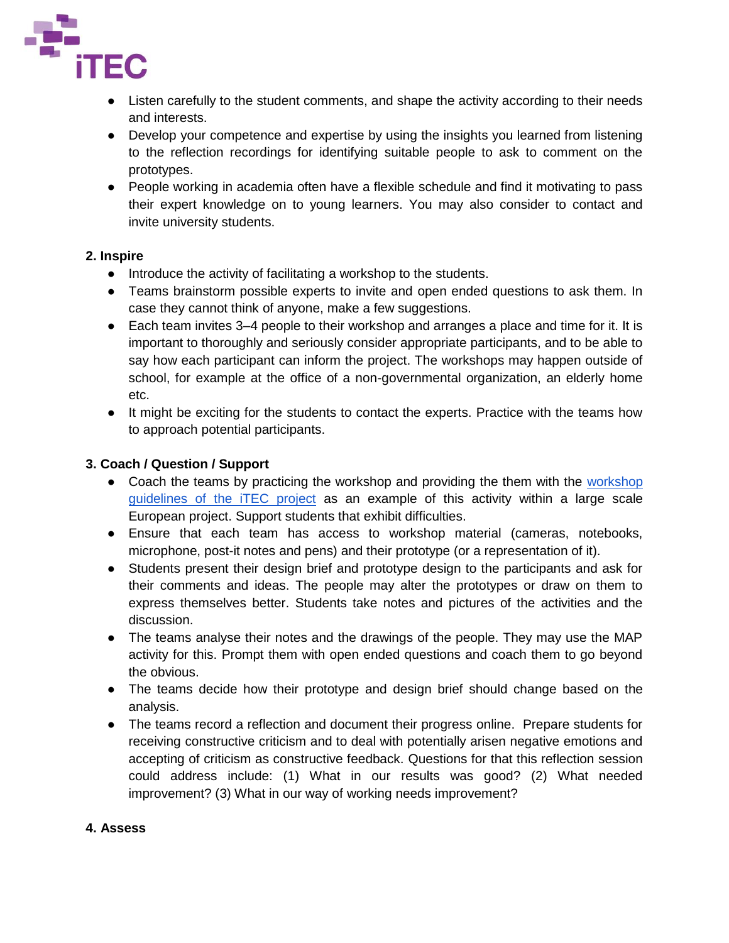

- Listen carefully to the student comments, and shape the activity according to their needs and interests.
- Develop your competence and expertise by using the insights you learned from listening to the reflection recordings for identifying suitable people to ask to comment on the prototypes.
- People working in academia often have a flexible schedule and find it motivating to pass their expert knowledge on to young learners. You may also consider to contact and invite university students.

## **2. Inspire**

- Introduce the activity of facilitating a workshop to the students.
- Teams brainstorm possible experts to invite and open ended questions to ask them. In case they cannot think of anyone, make a few suggestions.
- Each team invites 3–4 people to their workshop and arranges a place and time for it. It is important to thoroughly and seriously consider appropriate participants, and to be able to say how each participant can inform the project. The workshops may happen outside of school, for example at the office of a non-governmental organization, an elderly home etc.
- It might be exciting for the students to contact the experts. Practice with the teams how to approach potential participants.

# **3. Coach / Question / Support**

- Coach the teams by practicing the [workshop](http://itec.aalto.fi/participatory-design/workshop-guidelines/) and providing the them with the workshop [guidelines of the iTEC project](http://itec.aalto.fi/participatory-design/workshop-guidelines/) as an example of this activity within a large scale European project. Support students that exhibit difficulties.
- Ensure that each team has access to workshop material (cameras, notebooks, microphone, post-it notes and pens) and their prototype (or a representation of it).
- Students present their design brief and prototype design to the participants and ask for their comments and ideas. The people may alter the prototypes or draw on them to express themselves better. Students take notes and pictures of the activities and the discussion.
- The teams analyse their notes and the drawings of the people. They may use the MAP activity for this. Prompt them with open ended questions and coach them to go beyond the obvious.
- The teams decide how their prototype and design brief should change based on the analysis.
- The teams record a reflection and document their progress online. Prepare students for receiving constructive criticism and to deal with potentially arisen negative emotions and accepting of criticism as constructive feedback. Questions for that this reflection session could address include: (1) What in our results was good? (2) What needed improvement? (3) What in our way of working needs improvement?

## **4. Assess**